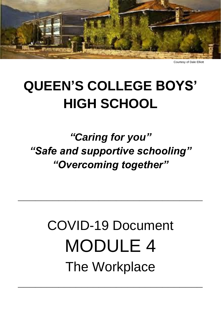

Courtesy of Dale Elliott

# **QUEEN'S COLLEGE BOYS' HIGH SCHOOL**

*"Caring for you" "Safe and supportive schooling" "Overcoming together"* 

# COVID-19 Document MODULE 4 The Workplace

**\_\_\_\_\_\_\_\_\_\_\_\_\_\_\_\_\_\_\_\_\_\_\_\_\_\_\_\_\_\_\_\_**

**\_\_\_\_\_\_\_\_\_\_\_\_\_\_\_\_\_\_\_\_\_\_\_\_\_\_\_\_\_\_\_\_**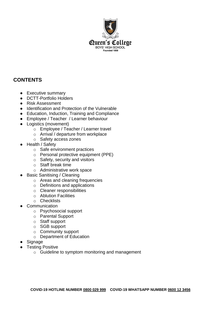

# **CONTENTS**

- Executive summary
- DCTT-Portfolio Holders
- Risk Assessment
- Identification and Protection of the Vulnerable
- Education, Induction, Training and Compliance
- Employee / Teacher / Learner behaviour
- Logistics (movement)
	- o Employee / Teacher / Learner travel
	- o Arrival / departure from workplace
	- o Safety access zones
- Health / Safety
	- o Safe environment practices
	- o Personal protective equipment (PPE)
	- o Safety, security and visitors
	- o Staff break time
	- o Administrative work space
- **Basic Sanitising / Cleaning** 
	- o Areas and cleaning frequencies
	- o Definitions and applications
	- o Cleaner responsibilities
	- o Ablution Facilities
	- o Checklists
- **Communication** 
	- o Psychosocial support
	- o Parental Support
	- o Staff support
	- o SGB support
	- o Community support
	- o Department of Education
- Signage
- **Testing Positive** 
	- o Guideline to symptom monitoring and management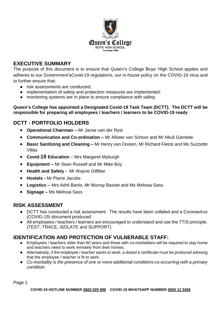

# **EXECUTIVE SUMMARY**

The purpose of this document is to ensure that Queen's College Boys' High School applies and adheres to our Government'sCovid-19 regulations, our in-house policy on the COVID-19 virus and to further ensure that:

- risk assessments are conducted:
- implementation of safety and protection measures are implemented;
- monitoring systems are in place to ensure compliance with safety.

#### **Queen's College has appointed a Designated Covid-19 Task Team (DCTT). The DCTT will be responsible for preparing all employees / teachers / learners to be COVID-19 ready**

# **DCTT - PORTFOLIO HOLDERS**

- **Operational Chairman –** Mr Janse van der Ryst
- **Communication and Co-ordination –** Mr Allister van Schoor and Mr Nkuli Gamede.
- **Basic Sanitizing and Cleaning –** Mr Henry van Oosten, Mr Richard Fietze and Ms Suzzette Villas
- **Covid-19 Education**  Mrs Margaret Myburgh
- **Equipment –** Mr Sean Russell and Mr Mike Boy
- **Health and Safety -** Mr Wayne Gilfillan
- **Hostels -** Mr Pierre Jacobs
- **Logistics –** Mrs Adré Bartis, Mr Murray Basset and Ms Melissa Sass.
- **Signage –** Ms Melissa Sass

### **RISK ASSESSMENT**

- DCTT has conducted a risk assessment. The results have been collated and a Coronavirus (COVID-19) document produced.
- All employees / teachers / learners are encouraged to understand and use the TTIS principle. (TEST, TRACE, ISOLATE and SUPPORT)

# **IDENTIFICATION AND PROTECTION OF VULNERABLE STAFF:**

- Employees / teachers older than 60 years and those with co-morbidities will be required to stay home and teachers need to work remotely from their homes.
- Alternatively, if the employee / teacher wants to work, a doctor's certificate must be produced advising that the employee / teacher is fit to work.
- *Co-morbidity is the presence of one or more additional conditions co-occurring with a primary condition.*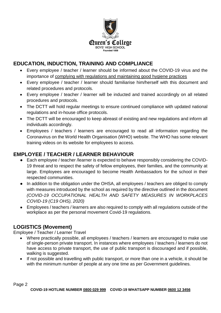

# **EDUCATION, INDUCTION, TRAINING AND COMPLIANCE**

- Every employee / teacher / learner should be informed about the COVID-19 virus and the importance of complying with regulations and maintaining good hygiene practices
- Every employee / teacher / learner should familiarise him/herself with this document and related procedures and protocols.
- Every employee / teacher / learner will be inducted and trained accordingly on all related procedures and protocols.
- The DCTT will hold regular meetings to ensure continued compliance with updated national regulations and in-house office protocols.
- The DCTT will be encouraged to keep abreast of existing and new regulations and inform all individuals accordingly.
- Employees / teachers / learners are encouraged to read all information regarding the Coronavirus on the World Health Organisation (WHO) website. The WHO has some relevant training videos on its website for employees to access.

# **EMPLOYEE / TEACHER / LEARNER BEHAVIOUR**

- Each employee / teacher /learner is expected to behave responsibly considering the COVID-19 threat and to respect the safety of fellow employees, their families, and the community at large. Employees are encouraged to become Health Ambassadors for the school in their respected communities.
- In addition to the obligation under the OHSA, all employees / teachers are obliged to comply with measures introduced by the school as required by the directive outlined in the document *(COVID-19 OCCUPATIONAL HEALTH AND SAFETY MEASURES IN WORKPLACES COVID-19 (C19 OHS), 2020)*
- Employees / teachers / learners are also required to comply with all regulations outside of the workplace as per the personal movement Covid-19 regulations.

# **LOGISTICS (Movement)**

Employee / Teacher / Learner Travel

- Where practically possible, all employees / teachers / learners are encouraged to make use of single-person private transport. In instances where employees / teachers / learners do not have access to private transport, the use of public transport is discouraged and if possible, walking is suggested.
- If not possible and travelling with public transport, or more than one in a vehicle, it should be with the minimum number of people at any one time as per Government guidelines.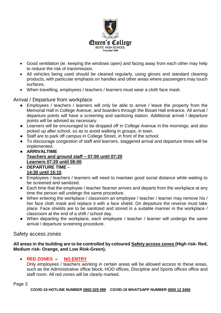

- Good ventilation (ie. keeping the windows open) and facing away from each other may help to reduce the risk of transmission.
- All vehicles being used should be cleaned regularly, using gloves and standard cleaning products, with particular emphasis on handles and other areas where passengers may touch surfaces.
- When travelling, employees / teachers / learners must wear a cloth face mask.

#### Arrival / Departure from workplace

- Employees / teachers / learners will only be able to arrive / leave the property from the Memorial Hall in College Avenue; and boarders through the Bisset Hall entrance. All arrival / departure points will have a screening and sanitizing station. Additional arrival / departure points will be advised as necessary.
- Learners will be encouraged to be dropped off in College Avenue in the mornings; and also picked up after school, so as to avoid walking in groups, in town.
- Staff are to park off campus in College Street, in front of the school.
- To discourage congestion of staff and learners, staggered arrival and departure times will be implemented.
- **ARRIVALTIME Teachers and ground staff – 07:00 until 07:20 Learners 07:20 until 08:00**.
- **DEPARTURE TIME 14:30 until 15:15**
- Employees / teachers / learners will need to maintain good social distance while waiting to be screened and sanitized.
- Each time that the employee / teacher /learner arrives and departs from the workplace at any time the person will undergo the same procedure.
- When entering the workplace / classroom an employee / teacher / learner may remove his / her face cloth mask and replace it with a face shield. On departure the reverse must take place. Face shields are to be sanitized and stored in a suitable manner in the workplace / classroom at the end of a shift / school day.
- When departing the workplace, each employee / teacher / learner will undergo the same arrival / departure screening procedure.

Safety access zones

**All areas in the building are to be controlled by coloured Safety access zones (High risk- Red, Medium risk- Orange, and Low Risk-Green).** 

#### **RED ZONES – NO ENTRY**

Only employees / teachers working in certain areas will be allowed access to these areas, such as the Administrative office block, HOD offices, Discipline and Sports offices office and staff room. All red zones will be clearly marked.

Page 3

**COVID-19 HOTLINE NUMBER 0800 029 999 COVID-19 WHATSAPP NUMBER 0600 12 3456**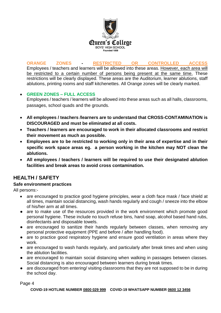

**ORANGE ZONES - RESTRICTED OR CONTROLLED ACCESS**  Employees / teachers and learners will be allowed into these areas. However, each area will be restricted to a certain number of persons being present at the same time. These restrictions will be clearly displayed. These areas are the Auditorium, learner ablutions, staff ablutions, printing rooms and staff kitchenettes. All Orange zones will be clearly marked.

#### **GREEN ZONES – FULL ACCESS**

Employees / teachers / learners will be allowed into these areas such as all halls, classrooms, passages, school quads and the grounds.

- **All employees / teachers /learners are to understand that CROSS-CONTAMINATION is DISCOURAGED and must be eliminated at all costs.**
- **Teachers / learners are encouraged to work in their allocated classrooms and restrict their movement as much as possible.**
- **Employees are to be restricted to working only in their area of expertise and in their specific work space areas eg. a person working in the kitchen may NOT clean the ablutions.**
- **All employees / teachers / learners will be required to use their designated ablution facilities and break areas to avoid cross contamination.**

# **HEALTH / SAFETY**

#### **Safe environment practices**

All persons:-

- are encouraged to practice good hygiene principles, wear a cloth face mask / face shield at all times, maintain social distancing, wash hands regularly and cough / sneeze into the elbow of his/her arm at all times.
- are to make use of the resources provided in the work environment which promote good personal hygiene. These include no touch refuse bins, hand soap, alcohol based hand rubs, disinfectants and disposable towels.
- are encouraged to sanitize their hands regularly between classes, when removing any personal protective equipment (PPE and before / after handling food).
- are to practice good respiratory hygiene and ensure good ventilation in areas where they work.
- are encouraged to wash hands regularly, and particularly after break times and when using the ablution facilities.
- are encouraged to maintain social distancing when walking in passages between classes. Social distancing is also encouraged between learners during break times.
- are discouraged from entering/ visiting classrooms that they are not supposed to be in during the school day.

Page 4

**COVID-19 HOTLINE NUMBER 0800 029 999 COVID-19 WHATSAPP NUMBER 0600 12 3456**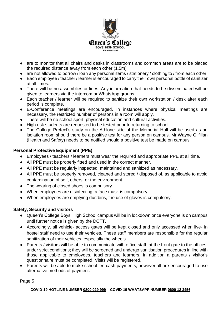

- are to monitor that all chairs and desks in classrooms and common areas are to be placed the required distance away from each other (1.5m)
- are not allowed to borrow / loan any personal items / stationery / clothing to / from each other.
- Each employee / teacher / learner is encouraged to carry their own personal bottle of sanitizer at all times.
- There will be no assemblies or lines. Any information that needs to be disseminated will be given to learners via the intercom or WhatsApp groups.
- Each teacher / learner will be required to sanitize their own workstation / desk after each period is complete.
- E-Conference meetings are encouraged. In instances where physical meetings are necessary, the restricted number of persons in a room will apply.
- There will be no school sport, physical education and cultural activities.
- High risk students are requested to be tested prior to returning to school.
- The College Prefect's study on the Athlone side of the Memorial Hall will be used as an isolation room should there be a positive test for any person on campus. Mr Wayne Gilfillan (Health and Safety) needs to be notified should a positive test be made on campus.

#### **Personal Protective Equipment (PPE)**

- Employees / teachers / learners must wear the required and appropriate PPE at all time.
- All PPE must be properly fitted and used in the correct manner.
- All PPE must be regularly inspected, maintained and sanitized as necessary.
- All PPE must be properly removed, cleaned and stored / disposed of, as applicable to avoid contamination of self, others, or the environment.
- The wearing of closed shoes is compulsory.
- When employees are disinfecting, a face mask is compulsory.
- When employees are emptying dustbins, the use of gloves is compulsory.

#### **Safety, Security and visitors**

- Queen's College Boys' High School campus will be in lockdown once everyone is on campus until further notice is given by the DCTT.
- Accordingly, all vehicle- access gates will be kept closed and only accessed when live- in hostel staff need to use their vehicles. These staff members are responsible for the regular sanitization of their vehicles, especially the wheels.
- Parents / visitors will be able to communicate with office staff, at the front gate to the offices, under strict conditions; they will be screened and undergo sanitisation procedures in line with those applicable to employees, teachers and learners. In addition a parents / visitor's questionnaire must be completed. Visits will be registered.
- Parents will be able to make school fee cash payments, however all are encouraged to use alternative methods of payment.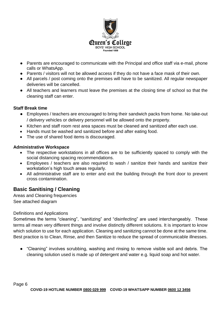

- Parents are encouraged to communicate with the Principal and office staff via e-mail, phone calls or WhatsApp.
- Parents / visitors will not be allowed access if they do not have a face mask of their own.
- All parcels / post coming onto the premises will have to be sanitized. All regular newspaper deliveries will be cancelled.
- All teachers and learners must leave the premises at the closing time of school so that the cleaning staff can enter.

#### **Staff Break time**

- Employees / teachers are encouraged to bring their sandwich packs from home. No take-out / delivery vehicles or delivery personnel will be allowed onto the property.
- Kitchen and staff room rest area spaces must be cleaned and sanitized after each use.
- Hands must be washed and sanitized before and after eating food.
- The use of shared food items is discouraged.

#### **Administrative Workspace**

- The respective workstations in all offices are to be sufficiently spaced to comply with the social distancing spacing recommendations.
- Employees / teachers are also required to wash / sanitize their hands and sanitize their workstation's high touch areas regularly.
- All administrative staff are to enter and exit the building through the front door to prevent cross contamination.

# **Basic Sanitising / Cleaning**

Areas and Cleaning frequencies See attached diagram

#### Definitions and Applications

Sometimes the terms "cleaning", "sanitizing" and "disinfecting" are used interchangeably. These terms all mean very different things and involve distinctly different solutions. It is important to know which solution to use for each application. Cleaning and sanitizing cannot be done at the same time. Best practice is to Clean, Rinse, and then Sanitize to reduce the spread of communicable illnesses.

● "Cleaning" involves scrubbing, washing and rinsing to remove visible soil and debris. The cleaning solution used is made up of detergent and water e.g. liquid soap and hot water.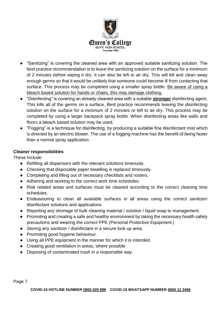

- "Sanitizing" is covering the cleaned area with an approved suitable sanitizing solution. The best practice recommendation is to leave the sanitizing solution on the surface for a minimum of 2 minutes before wiping it dry. It can also be left to air dry. This will kill and clean away enough germs so that it would be unlikely that someone could become ill from contacting that surface. This process may be completed using a smaller spray bottle. Be aware of using a bleach based solution for hands or chairs, this may damage clothing.
- "Disinfecting" is covering an already cleaned area with a suitable **stronger** disinfecting agent. This kills all of the germs on a surface. Best practice recommends leaving the disinfecting solution on the surface for a minimum of 2 minutes or left to air dry. This process may be completed by using a larger backpack spray bottle. When disinfecting areas like walls and floors a bleach based solution may be used.
- "Fogging" is a technique for disinfecting, by producing a suitable fine disinfectant mist which is directed by an electric blower. The use of a fogging machine has the benefit of being faster than a normal spray application.

#### **Cleaner responsibilities**

These Include:

- Refilling all dispensers with the relevant solutions timeously.
- Checking that disposable paper towelling is replaced timeously.
- Completing and filling out of necessary checklists and rosters.
- Adhering and working to the correct work time schedules.
- Risk related areas and surfaces must be cleaned according to the correct cleaning time schedules.
- Endeavouring to clean all available surfaces in all areas using the correct sanitizer/ disinfectant solutions and applications
- Reporting any shortage of bulk cleaning material / solution / liquid soap to management.
- Promoting and creating a safe and healthy environment by taking the necessary health safety precautions and wearing the correct PPE (Personal Protective Equipment.)
- Storing any sanitizer / disinfectant in a secure lock up area.
- Promoting good hygiene behaviour.
- Using all PPE equipment in the manner for which it is intended.
- Creating good ventilation in areas, where possible.
- Disposing of contaminated trash in a responsible way.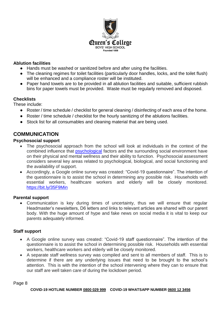

#### **Ablution facilities**

- Hands must be washed or sanitized before and after using the facilities.
- The cleaning regimes for toilet facilities (particularly door handles, locks, and the toilet flush) will be enhanced and a compliance roster will be instituted.
- Paper hand towels are to be provided in all ablution facilities and suitable, sufficient rubbish bins for paper towels must be provided. Waste must be regularly removed and disposed.

#### **Checklists**

These include:

- Roster / time schedule / checklist for general cleaning / disinfecting of each area of the home.
- Roster / time schedule / checklist for the hourly sanitizing of the ablutions facilities.
- Stock list for all consumables and cleaning material that are being used.

# **COMMUNICATION**

#### **Psychosocial support**

- The psychosocial approach from the school will look at individuals in the context of the combined influence that [psychological](https://en.wikipedia.org/wiki/Psychological) factors and the surrounding social environment have on their physical and mental wellness and their ability to function. Psychosocial assessment considers several key areas related to psychological, biological, and social functioning and the availability of support.
- Accordingly, a Google online survey was created: "Covid-19 questionnaire". The intention of the questionnaire is to assist the school in determining any possible risk. Households with essential workers, healthcare workers and elderly will be closely monitored. <https://bit.ly/35F9Min>

#### **Parental support**

 Communication is key during times of uncertainty, thus we will ensure that regular Headmaster's newsletters, D6 letters and links to relevant articles are shared with our parent body. With the huge amount of hype and fake news on social media it is vital to keep our parents adequately informed.

#### **Staff support**

- A Google online survey was created: "Covid-19 staff questionnaire". The intention of the questionnaire is to assist the school in determining possible risk. Households with essential workers, healthcare workers and elderly will be closely monitored.
- A separate staff wellness survey was compiled and sent to all members of staff. This is to determine if there are any underlying issues that need to be brought to the school's attention. This is with the intention of the school intervening where they can to ensure that our staff are well taken care of during the lockdown period.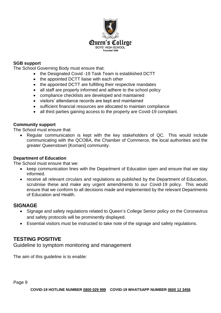

#### **SGB support**

The School Governing Body must ensure that:

- the Designated Covid -19 Task Team is established DCTT
- the appointed DCTT liaise with each other
- the appointed DCTT are fulfilling their respective mandates
- all staff are properly informed and adhere to the school policy
- compliance checklists are developed and maintained
- visitors' attendance records are kept and maintained
- sufficient financial resources are allocated to maintain compliance
- all third parties gaining access to the property are Covid-19 compliant.

#### **Community support**

The School must ensure that:

 Regular communication is kept with the key stakeholders of QC. This would include communicating with the QCOBA, the Chamber of Commerce, the local authorities and the greater Queenstown [Komani] community.

#### **Department of Education**

The School must ensure that we:

- keep communication lines with the Department of Education open and ensure that we stay informed.
- receive all relevant circulars and regulations as published by the Department of Education, scrutinise these and make any urgent amendments to our Covid-19 policy. This would ensure that we conform to all decisions made and implemented by the relevant Departments of Education and Health.

#### **SIGNAGE**

- Signage and safety regulations related to Queen's College Senior policy on the Coronavirus and safety protocols will be prominently displayed.
- Essential visitors must be instructed to take note of the signage and safety regulations.

#### **TESTING POSITIVE**

Guideline to symptom monitoring and management

The aim of this guideline is to enable: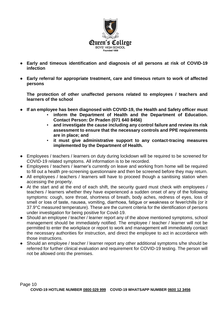

- **Early and timeous identification and diagnosis of all persons at risk of COVID-19 infection**
- **Early referral for appropriate treatment, care and timeous return to work of affected persons**

**The protection of other unaffected persons related to employees / teachers and learners of the school**

- **If an employee has been diagnosed with COVID-19, the Health and Safety officer must**
	- inform the Department of Health and the Department of Education. **Contact Person: Dr Praden (071 640 8456)**
	- and investigate the cause including any control failure and review its risk **assessment to ensure that the necessary controls and PPE requirements are in place; and**
	- **it must give administrative support to any contact-tracing measures implemented by the Department of Health.**
- Employees / teachers / learners on duty during lockdown will be required to be screened for COVID-19 related symptoms. All information is to be recorded.
- Employees / teachers / learner's currently on leave and working from home will be required to fill out a health pre-screening questionnaire and then be screened before they may return.
- All employees / teachers / learners will have to proceed though a sanitising station when accessing the property.
- At the start and at the end of each shift, the security guard must check with employees / teachers / learners whether they have experienced a sudden onset of any of the following symptoms: cough, sore throat, shortness of breath, body aches, redness of eyes, loss of smell or loss of taste, nausea, vomiting, diarrhoea, fatigue or weakness or fever/chills (or ≥ 37.9°C measured temperature). These are the current criteria for the identification of persons under investigation for being positive for Covid-19.
- Should an employee / teacher / learner report any of the above mentioned symptoms, school management should be immediately notified. The employee / teacher / learner will not be permitted to enter the workplace or report to work and management will immediately contact the necessary authorities for instruction, and direct the employee to act in accordance with those instructions.
- Should an employee / teacher / learner report any other additional symptoms s/he should be referred for further clinical evaluation and requirement for COVID-19 testing. The person will not be allowed onto the premises.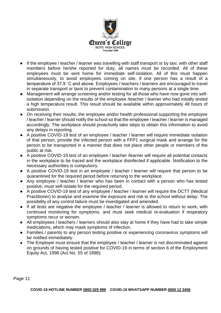

- If the employee / teacher / learner was travelling with staff transport or by taxi, with other staff members before he/she reported for duty, all names must be recorded. All of these employees must be sent home for immediate self-isolation. All of this must happen simultaneously, to avoid employees coming on site, if one person has a result of a temperature of 37.9 ˚C and above. Employees / teachers / learners are encouraged to travel in separate transport or taxis to prevent contamination to many persons at a single time.
- Management will arrange screening and/or testing for all those who have now gone into selfisolation depending on the results of the employee /teacher / learner who had initially tested a high temperature result. This result should be available within approximately 48 hours of submission.
- On receiving their results, the employee and/or health professional supporting the employee / teacher / learner should notify the school so that the employee / teacher / learner is managed accordingly. The workplace should proactively take steps to obtain this information to avoid any delays in reporting.
- A positive COVID-19 test of an employee / teacher / learner will require immediate isolation of that person, provide the infected person with a FFP1 surgical mask and arrange for the person to be transported in a manner that does not place other people or members of the public at risk.
- A positive COVID-19 test of an employee / teacher /learner will require all potential contacts in the workplace to be traced and the workplace disinfected if applicable. Notification to the necessary authorities is compulsory.
- A positive COVID-19 test in an employee / teacher / learner will require that person to be quarantined for the required period before returning to the workplace.
- Any employee / teacher / learner who has been in contact with a person who has tested positive, must self-isolate for the required period.
- A positive COVID-19 test of any employee / teacher / learner will require the DCTT (Medical Practitioner) to analyse and examine the exposure and risk to the school without delay. The possibility of any control failure must be investigated and amended.
- If all tests are negative the employee / teacher / learner is allowed to return to work, with continued monitoring for symptoms, and must seek medical re-evaluation if respiratory symptoms recur or worsen.
- All employees / teachers / learners should also stay at home if they have had to take simple medications, which may mask symptoms of infection.
- Families / parents to any person testing positive or experiencing coronavirus symptoms will be notified immediately.
- The Employer must ensure that the employee / teacher / learner is not discriminated against on grounds of having tested positive for COVID-19 in terms of section 6 of the Employment Equity Act, 1998 (Act No. 55 of 1998);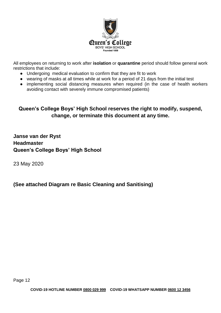

All employees on returning to work after **isolation** or **quarantine** period should follow general work restrictions that include:

- Undergoing medical evaluation to confirm that they are fit to work
- wearing of masks at all times while at work for a period of 21 days from the initial test
- implementing social distancing measures when required (in the case of health workers avoiding contact with severely immune compromised patients)

# **Queen's College Boys' High School reserves the right to modify, suspend, change, or terminate this document at any time.**

**Janse van der Ryst Headmaster Queen's College Boys' High School**

23 May 2020

# **(See attached Diagram re Basic Cleaning and Sanitising)**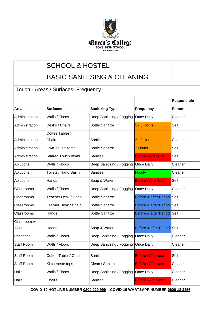

# SCHOOL & HOSTEL –

# BASIC SANITISING & CLEANING

# Touch - Areas / Surfaces- Frequency

|                   |                              |                           |                                  | Responsible |
|-------------------|------------------------------|---------------------------|----------------------------------|-------------|
| Area              | <b>Surfaces</b>              | <b>Sanitizing Type</b>    | <b>Frequency</b>                 | Person      |
| Administration    | Walls / Floors               | Deep Sanitizing / Fogging | Once Daily                       | Cleaner     |
| Administration    | Desks / Chairs               | <b>Bottle Sanitize</b>    | 2 - 3 Hours                      | Self        |
|                   | Coffee Tables/               |                           |                                  |             |
| Administration    | Chairs                       | Sanitize                  | 2 - 3 Hours                      | Cleaner     |
| Administration    | Own Touch items              | <b>Bottle Sanitize</b>    | 2 Hours                          | Self        |
| Administration    | <b>Shared Touch Items</b>    | Sanitise                  | <b>Before / After Use</b>        | Self        |
| Ablutions         | Walls / Floors               | Deep Sanitizing / Fogging | Once Daily                       | Cleaner     |
| Ablutions         | Toilets / Hand Basin         | Sanitise                  | Hourly                           | Cleaner     |
| Ablutions         | Hands                        | Soap & Water              | <b>Before / After Use</b>        | Self        |
| Classrooms        | Walls / Floors               | Deep Sanitizing / Fogging | Once Daily                       | Cleaner     |
| Classrooms        | Teacher Desk / Chair         | <b>Bottle Sanitize</b>    | <b>Before &amp; after Period</b> | Self        |
| Classrooms        | Learner Desk / Chair         | <b>Bottle Sanitize</b>    | <b>Before &amp; after Period</b> | Self        |
| Classrooms        | Hands                        | <b>Bottle Sanitize</b>    | <b>Before &amp; after Period</b> | Self        |
| Classroom with    |                              |                           |                                  |             |
| Basin             | Hands                        | Soap & Water              | Before & after Period            | Self        |
| Passages          | Walls / Floors               | Deep Sanitizing / Fogging | Once Daily                       | Cleaner     |
| <b>Staff Room</b> | Walls / Floors               | Deep Sanitizing / Fogging | Once Daily                       | Cleaner     |
| <b>Staff Room</b> | <b>Coffee Tables/ Chairs</b> | Sanitise                  | <b>Before / After use</b>        | Self        |
| <b>Staff Room</b> | Kitchenette tops             | Clean / Sanitize          | <b>Before / After use</b>        | Cleaner     |
| <b>Halls</b>      | Walls / Floors               | Deep Sanitizing / Fogging | Once Daily                       | Cleaner     |
| Halls             | Chairs                       | Sanitise                  | Before / After use               | Cleaner     |

**COVID-19 HOTLINE NUMBER 0800 029 999 COVID-19 WHATSAPP NUMBER 0600 12 3456**